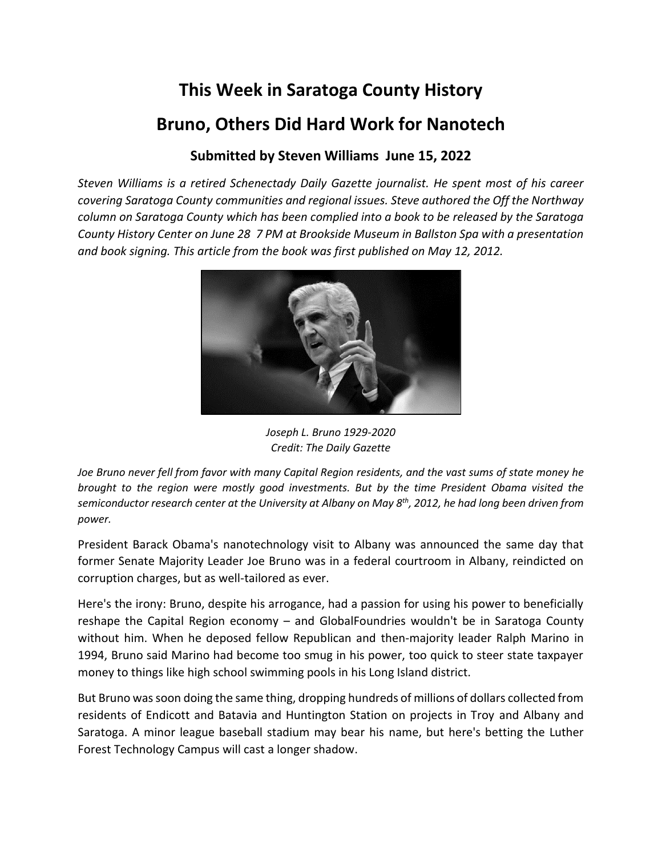## **This Week in Saratoga County History Bruno, Others Did Hard Work for Nanotech**

## **Submitted by Steven Williams June 15, 2022**

*Steven Williams is a retired Schenectady Daily Gazette journalist. He spent most of his career covering Saratoga County communities and regional issues. Steve authored the Off the Northway column on Saratoga County which has been complied into a book to be released by the Saratoga County History Center on June 28 7 PM at Brookside Museum in Ballston Spa with a presentation and book signing. This article from the book was first published on May 12, 2012.*



*Joseph L. Bruno 1929-2020 Credit: The Daily Gazette*

*Joe Bruno never fell from favor with many Capital Region residents, and the vast sums of state money he brought to the region were mostly good investments. But by the time President Obama visited the semiconductor research center at the University at Albany on May 8th, 2012, he had long been driven from power.*

President Barack Obama's nanotechnology visit to Albany was announced the same day that former Senate Majority Leader Joe Bruno was in a federal courtroom in Albany, reindicted on corruption charges, but as well-tailored as ever.

Here's the irony: Bruno, despite his arrogance, had a passion for using his power to beneficially reshape the Capital Region economy – and GlobalFoundries wouldn't be in Saratoga County without him. When he deposed fellow Republican and then-majority leader Ralph Marino in 1994, Bruno said Marino had become too smug in his power, too quick to steer state taxpayer money to things like high school swimming pools in his Long Island district.

But Bruno was soon doing the same thing, dropping hundreds of millions of dollars collected from residents of Endicott and Batavia and Huntington Station on projects in Troy and Albany and Saratoga. A minor league baseball stadium may bear his name, but here's betting the Luther Forest Technology Campus will cast a longer shadow.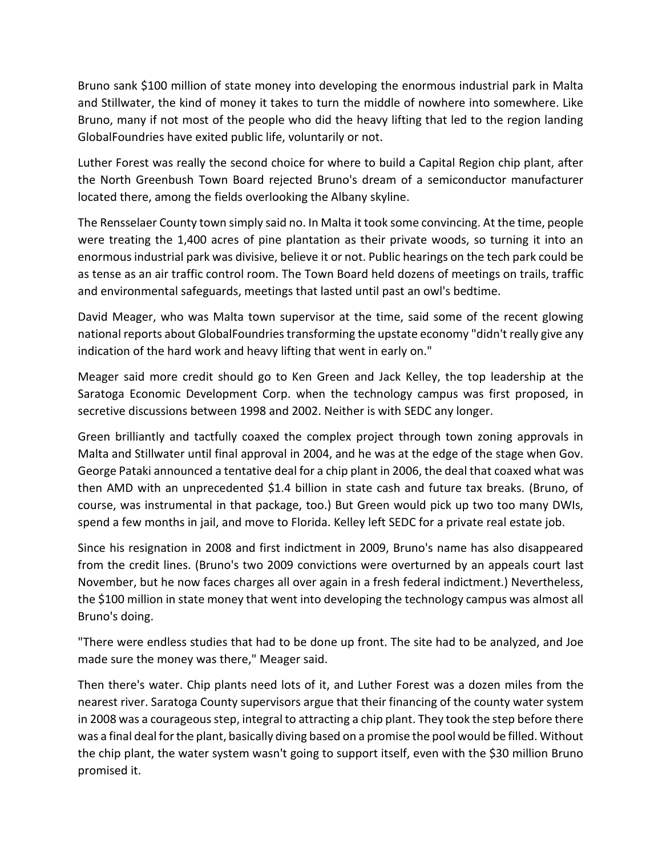Bruno sank \$100 million of state money into developing the enormous industrial park in Malta and Stillwater, the kind of money it takes to turn the middle of nowhere into somewhere. Like Bruno, many if not most of the people who did the heavy lifting that led to the region landing GlobalFoundries have exited public life, voluntarily or not.

Luther Forest was really the second choice for where to build a Capital Region chip plant, after the North Greenbush Town Board rejected Bruno's dream of a semiconductor manufacturer located there, among the fields overlooking the Albany skyline.

The Rensselaer County town simply said no. In Malta it took some convincing. At the time, people were treating the 1,400 acres of pine plantation as their private woods, so turning it into an enormous industrial park was divisive, believe it or not. Public hearings on the tech park could be as tense as an air traffic control room. The Town Board held dozens of meetings on trails, traffic and environmental safeguards, meetings that lasted until past an owl's bedtime.

David Meager, who was Malta town supervisor at the time, said some of the recent glowing national reports about GlobalFoundriestransforming the upstate economy "didn't really give any indication of the hard work and heavy lifting that went in early on."

Meager said more credit should go to Ken Green and Jack Kelley, the top leadership at the Saratoga Economic Development Corp. when the technology campus was first proposed, in secretive discussions between 1998 and 2002. Neither is with SEDC any longer.

Green brilliantly and tactfully coaxed the complex project through town zoning approvals in Malta and Stillwater until final approval in 2004, and he was at the edge of the stage when Gov. George Pataki announced a tentative deal for a chip plant in 2006, the deal that coaxed what was then AMD with an unprecedented \$1.4 billion in state cash and future tax breaks. (Bruno, of course, was instrumental in that package, too.) But Green would pick up two too many DWIs, spend a few months in jail, and move to Florida. Kelley left SEDC for a private real estate job.

Since his resignation in 2008 and first indictment in 2009, Bruno's name has also disappeared from the credit lines. (Bruno's two 2009 convictions were overturned by an appeals court last November, but he now faces charges all over again in a fresh federal indictment.) Nevertheless, the \$100 million in state money that went into developing the technology campus was almost all Bruno's doing.

"There were endless studies that had to be done up front. The site had to be analyzed, and Joe made sure the money was there," Meager said.

Then there's water. Chip plants need lots of it, and Luther Forest was a dozen miles from the nearest river. Saratoga County supervisors argue that their financing of the county water system in 2008 was a courageous step, integral to attracting a chip plant. They took the step before there was a final deal for the plant, basically diving based on a promise the pool would be filled. Without the chip plant, the water system wasn't going to support itself, even with the \$30 million Bruno promised it.